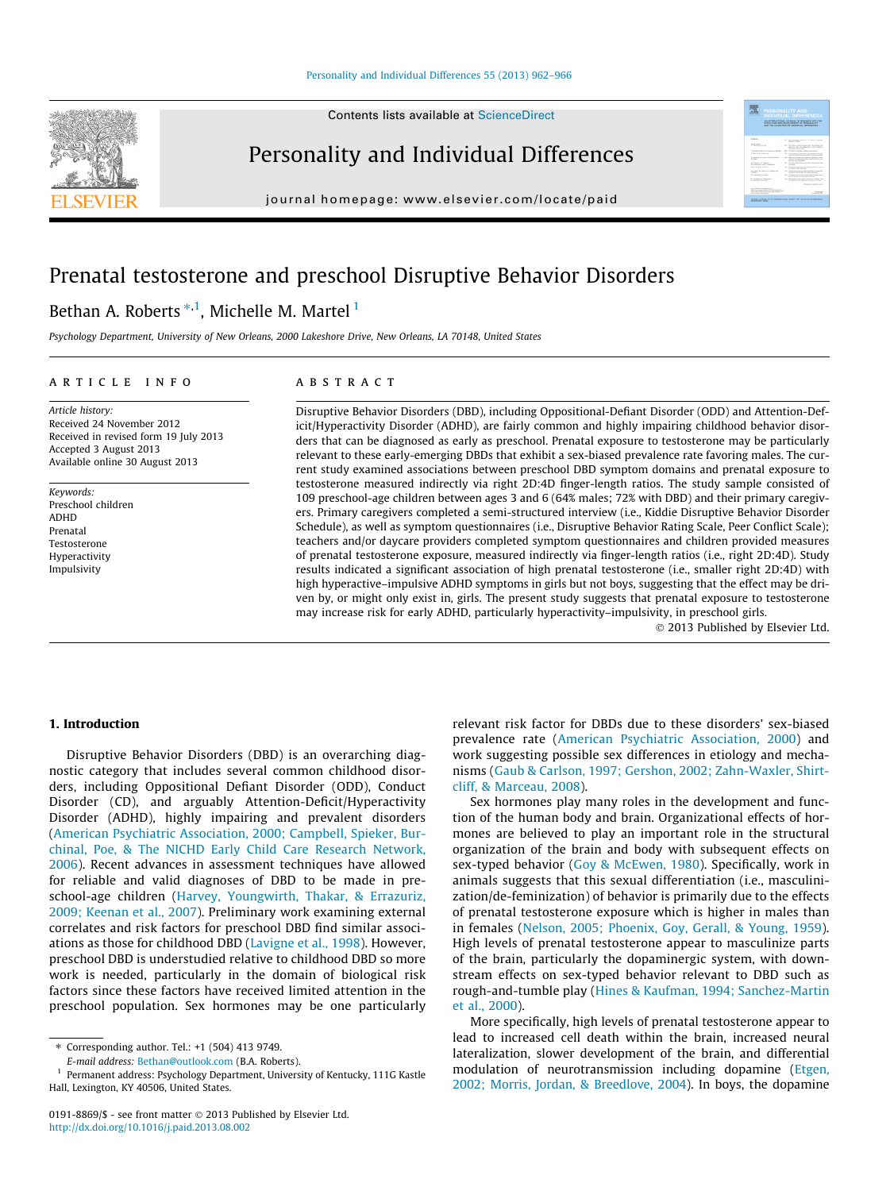Contents lists available at [ScienceDirect](http://www.sciencedirect.com/science/journal/01918869)



Personality and Individual Differences

journal homepage: [www.elsevier.com/locate/paid](http://www.elsevier.com/locate/paid)

## Prenatal testosterone and preschool Disruptive Behavior Disorders

### Bethan A. Roberts  $^{\ast,1}$ , Michelle M. Martel  $^1$

Psychology Department, University of New Orleans, 2000 Lakeshore Drive, New Orleans, LA 70148, United States

#### article info

Article history: Received 24 November 2012 Received in revised form 19 July 2013 Accepted 3 August 2013 Available online 30 August 2013

Keywords: Preschool children ADHD Prenatal Testosterone Hyperactivity Impulsivity

#### **ABSTRACT**

Disruptive Behavior Disorders (DBD), including Oppositional-Defiant Disorder (ODD) and Attention-Deficit/Hyperactivity Disorder (ADHD), are fairly common and highly impairing childhood behavior disorders that can be diagnosed as early as preschool. Prenatal exposure to testosterone may be particularly relevant to these early-emerging DBDs that exhibit a sex-biased prevalence rate favoring males. The current study examined associations between preschool DBD symptom domains and prenatal exposure to testosterone measured indirectly via right 2D:4D finger-length ratios. The study sample consisted of 109 preschool-age children between ages 3 and 6 (64% males; 72% with DBD) and their primary caregivers. Primary caregivers completed a semi-structured interview (i.e., Kiddie Disruptive Behavior Disorder Schedule), as well as symptom questionnaires (i.e., Disruptive Behavior Rating Scale, Peer Conflict Scale); teachers and/or daycare providers completed symptom questionnaires and children provided measures of prenatal testosterone exposure, measured indirectly via finger-length ratios (i.e., right 2D:4D). Study results indicated a significant association of high prenatal testosterone (i.e., smaller right 2D:4D) with high hyperactive–impulsive ADHD symptoms in girls but not boys, suggesting that the effect may be driven by, or might only exist in, girls. The present study suggests that prenatal exposure to testosterone may increase risk for early ADHD, particularly hyperactivity–impulsivity, in preschool girls.

© 2013 Published by Elsevier Ltd.

骤

#### 1. Introduction

Disruptive Behavior Disorders (DBD) is an overarching diagnostic category that includes several common childhood disorders, including Oppositional Defiant Disorder (ODD), Conduct Disorder (CD), and arguably Attention-Deficit/Hyperactivity Disorder (ADHD), highly impairing and prevalent disorders ([American Psychiatric Association, 2000; Campbell, Spieker, Bur](#page--1-0)[chinal, Poe, & The NICHD Early Child Care Research Network,](#page--1-0) [2006\)](#page--1-0). Recent advances in assessment techniques have allowed for reliable and valid diagnoses of DBD to be made in preschool-age children ([Harvey, Youngwirth, Thakar, & Errazuriz,](#page--1-0) [2009; Keenan et al., 2007](#page--1-0)). Preliminary work examining external correlates and risk factors for preschool DBD find similar associations as those for childhood DBD ([Lavigne et al., 1998](#page--1-0)). However, preschool DBD is understudied relative to childhood DBD so more work is needed, particularly in the domain of biological risk factors since these factors have received limited attention in the preschool population. Sex hormones may be one particularly

E-mail address: [Bethan@outlook.com](mailto:Bethan@outlook.com) (B.A. Roberts).

relevant risk factor for DBDs due to these disorders' sex-biased prevalence rate ([American Psychiatric Association, 2000](#page--1-0)) and work suggesting possible sex differences in etiology and mechanisms ([Gaub & Carlson, 1997; Gershon, 2002; Zahn-Waxler, Shirt](#page--1-0)[cliff, & Marceau, 2008\)](#page--1-0).

Sex hormones play many roles in the development and function of the human body and brain. Organizational effects of hormones are believed to play an important role in the structural organization of the brain and body with subsequent effects on sex-typed behavior [\(Goy & McEwen, 1980](#page--1-0)). Specifically, work in animals suggests that this sexual differentiation (i.e., masculinization/de-feminization) of behavior is primarily due to the effects of prenatal testosterone exposure which is higher in males than in females ([Nelson, 2005; Phoenix, Goy, Gerall, & Young, 1959\)](#page--1-0). High levels of prenatal testosterone appear to masculinize parts of the brain, particularly the dopaminergic system, with downstream effects on sex-typed behavior relevant to DBD such as rough-and-tumble play ([Hines & Kaufman, 1994; Sanchez-Martin](#page--1-0) [et al., 2000\)](#page--1-0).

More specifically, high levels of prenatal testosterone appear to lead to increased cell death within the brain, increased neural lateralization, slower development of the brain, and differential modulation of neurotransmission including dopamine ([Etgen,](#page--1-0) [2002; Morris, Jordan, & Breedlove, 2004](#page--1-0)). In boys, the dopamine

<sup>⇑</sup> Corresponding author. Tel.: +1 (504) 413 9749.

<sup>&</sup>lt;sup>1</sup> Permanent address: Psychology Department, University of Kentucky, 111G Kastle Hall, Lexington, KY 40506, United States.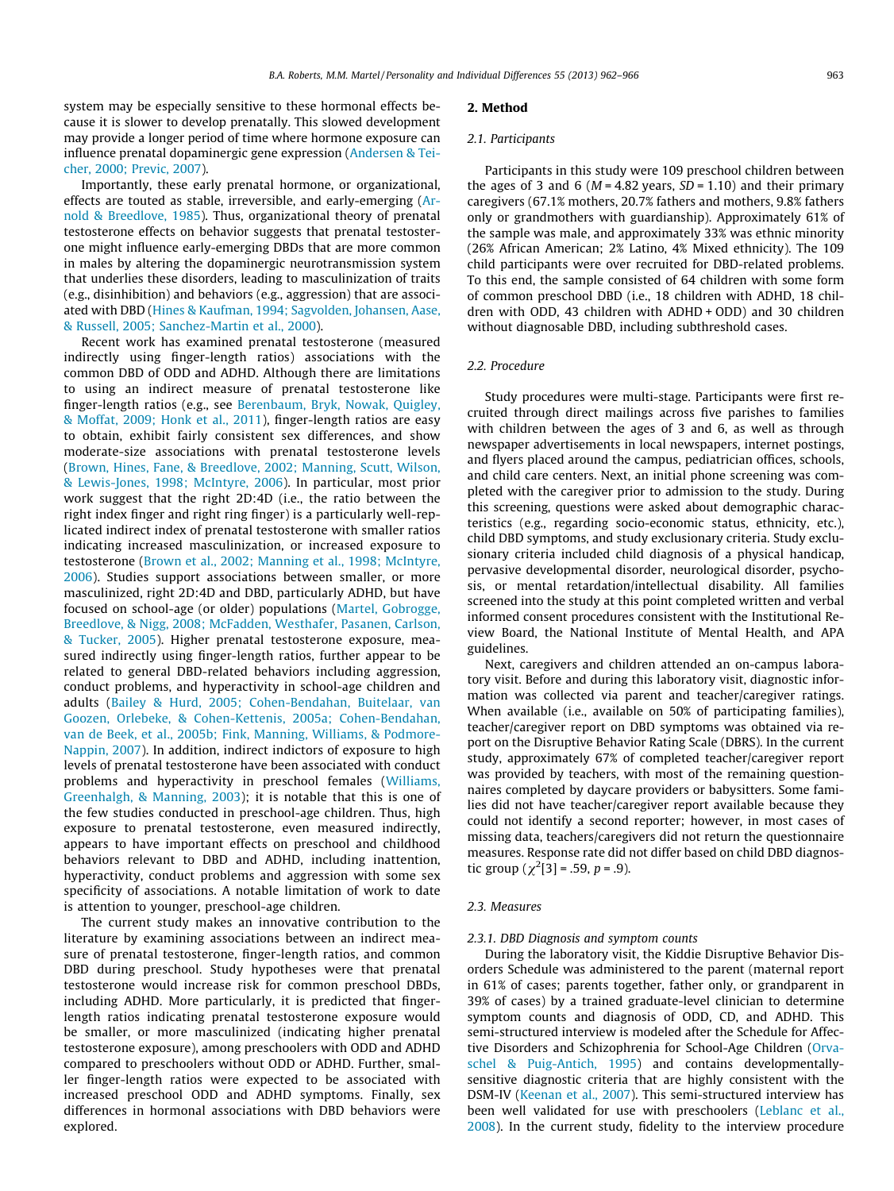system may be especially sensitive to these hormonal effects because it is slower to develop prenatally. This slowed development may provide a longer period of time where hormone exposure can influence prenatal dopaminergic gene expression [\(Andersen & Tei](#page--1-0)[cher, 2000; Previc, 2007](#page--1-0)).

Importantly, these early prenatal hormone, or organizational, effects are touted as stable, irreversible, and early-emerging ([Ar](#page--1-0)[nold & Breedlove, 1985\)](#page--1-0). Thus, organizational theory of prenatal testosterone effects on behavior suggests that prenatal testosterone might influence early-emerging DBDs that are more common in males by altering the dopaminergic neurotransmission system that underlies these disorders, leading to masculinization of traits (e.g., disinhibition) and behaviors (e.g., aggression) that are associated with DBD ([Hines & Kaufman, 1994; Sagvolden, Johansen, Aase,](#page--1-0) [& Russell, 2005; Sanchez-Martin et al., 2000\)](#page--1-0).

Recent work has examined prenatal testosterone (measured indirectly using finger-length ratios) associations with the common DBD of ODD and ADHD. Although there are limitations to using an indirect measure of prenatal testosterone like finger-length ratios (e.g., see [Berenbaum, Bryk, Nowak, Quigley,](#page--1-0) [& Moffat, 2009; Honk et al., 2011\)](#page--1-0), finger-length ratios are easy to obtain, exhibit fairly consistent sex differences, and show moderate-size associations with prenatal testosterone levels ([Brown, Hines, Fane, & Breedlove, 2002; Manning, Scutt, Wilson,](#page--1-0) [& Lewis-Jones, 1998; McIntyre, 2006\)](#page--1-0). In particular, most prior work suggest that the right 2D:4D (i.e., the ratio between the right index finger and right ring finger) is a particularly well-replicated indirect index of prenatal testosterone with smaller ratios indicating increased masculinization, or increased exposure to testosterone ([Brown et al., 2002; Manning et al., 1998; McIntyre,](#page--1-0) [2006\)](#page--1-0). Studies support associations between smaller, or more masculinized, right 2D:4D and DBD, particularly ADHD, but have focused on school-age (or older) populations [\(Martel, Gobrogge,](#page--1-0) [Breedlove, & Nigg, 2008; McFadden, Westhafer, Pasanen, Carlson,](#page--1-0) [& Tucker, 2005](#page--1-0)). Higher prenatal testosterone exposure, measured indirectly using finger-length ratios, further appear to be related to general DBD-related behaviors including aggression, conduct problems, and hyperactivity in school-age children and adults [\(Bailey & Hurd, 2005; Cohen-Bendahan, Buitelaar, van](#page--1-0) [Goozen, Orlebeke, & Cohen-Kettenis, 2005a; Cohen-Bendahan,](#page--1-0) [van de Beek, et al., 2005b; Fink, Manning, Williams, & Podmore-](#page--1-0)[Nappin, 2007](#page--1-0)). In addition, indirect indictors of exposure to high levels of prenatal testosterone have been associated with conduct problems and hyperactivity in preschool females [\(Williams,](#page--1-0) [Greenhalgh, & Manning, 2003\)](#page--1-0); it is notable that this is one of the few studies conducted in preschool-age children. Thus, high exposure to prenatal testosterone, even measured indirectly, appears to have important effects on preschool and childhood behaviors relevant to DBD and ADHD, including inattention, hyperactivity, conduct problems and aggression with some sex specificity of associations. A notable limitation of work to date is attention to younger, preschool-age children.

The current study makes an innovative contribution to the literature by examining associations between an indirect measure of prenatal testosterone, finger-length ratios, and common DBD during preschool. Study hypotheses were that prenatal testosterone would increase risk for common preschool DBDs, including ADHD. More particularly, it is predicted that fingerlength ratios indicating prenatal testosterone exposure would be smaller, or more masculinized (indicating higher prenatal testosterone exposure), among preschoolers with ODD and ADHD compared to preschoolers without ODD or ADHD. Further, smaller finger-length ratios were expected to be associated with increased preschool ODD and ADHD symptoms. Finally, sex differences in hormonal associations with DBD behaviors were explored.

#### 2. Method

#### 2.1. Participants

Participants in this study were 109 preschool children between the ages of 3 and 6 ( $M = 4.82$  years,  $SD = 1.10$ ) and their primary caregivers (67.1% mothers, 20.7% fathers and mothers, 9.8% fathers only or grandmothers with guardianship). Approximately 61% of the sample was male, and approximately 33% was ethnic minority (26% African American; 2% Latino, 4% Mixed ethnicity). The 109 child participants were over recruited for DBD-related problems. To this end, the sample consisted of 64 children with some form of common preschool DBD (i.e., 18 children with ADHD, 18 children with ODD, 43 children with ADHD + ODD) and 30 children without diagnosable DBD, including subthreshold cases.

#### 2.2. Procedure

Study procedures were multi-stage. Participants were first recruited through direct mailings across five parishes to families with children between the ages of 3 and 6, as well as through newspaper advertisements in local newspapers, internet postings, and flyers placed around the campus, pediatrician offices, schools, and child care centers. Next, an initial phone screening was completed with the caregiver prior to admission to the study. During this screening, questions were asked about demographic characteristics (e.g., regarding socio-economic status, ethnicity, etc.), child DBD symptoms, and study exclusionary criteria. Study exclusionary criteria included child diagnosis of a physical handicap, pervasive developmental disorder, neurological disorder, psychosis, or mental retardation/intellectual disability. All families screened into the study at this point completed written and verbal informed consent procedures consistent with the Institutional Review Board, the National Institute of Mental Health, and APA guidelines.

Next, caregivers and children attended an on-campus laboratory visit. Before and during this laboratory visit, diagnostic information was collected via parent and teacher/caregiver ratings. When available (i.e., available on 50% of participating families), teacher/caregiver report on DBD symptoms was obtained via report on the Disruptive Behavior Rating Scale (DBRS). In the current study, approximately 67% of completed teacher/caregiver report was provided by teachers, with most of the remaining questionnaires completed by daycare providers or babysitters. Some families did not have teacher/caregiver report available because they could not identify a second reporter; however, in most cases of missing data, teachers/caregivers did not return the questionnaire measures. Response rate did not differ based on child DBD diagnostic group  $(\chi^2[3] = .59, p = .9)$ .

#### 2.3. Measures

#### 2.3.1. DBD Diagnosis and symptom counts

During the laboratory visit, the Kiddie Disruptive Behavior Disorders Schedule was administered to the parent (maternal report in 61% of cases; parents together, father only, or grandparent in 39% of cases) by a trained graduate-level clinician to determine symptom counts and diagnosis of ODD, CD, and ADHD. This semi-structured interview is modeled after the Schedule for Affective Disorders and Schizophrenia for School-Age Children [\(Orva](#page--1-0)[schel & Puig-Antich, 1995](#page--1-0)) and contains developmentallysensitive diagnostic criteria that are highly consistent with the DSM-IV ([Keenan et al., 2007](#page--1-0)). This semi-structured interview has been well validated for use with preschoolers [\(Leblanc et al.,](#page--1-0) [2008](#page--1-0)). In the current study, fidelity to the interview procedure